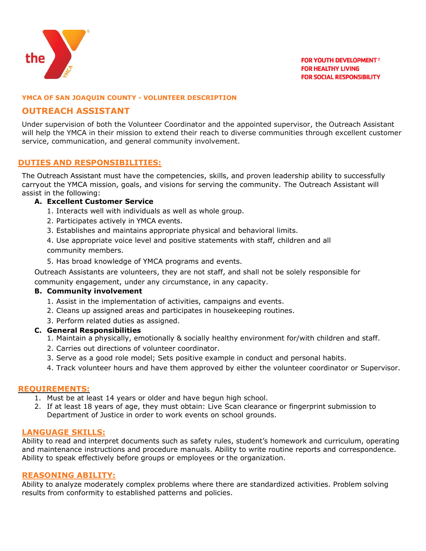

#### **YMCA OF SAN JOAQUIN COUNTY - VOLUNTEER DESCRIPTION**

# **OUTREACH ASSISTANT**

Under supervision of both the Volunteer Coordinator and the appointed supervisor, the Outreach Assistant will help the YMCA in their mission to extend their reach to diverse communities through excellent customer service, communication, and general community involvement.

# **DUTIES AND RESPONSIBILITIES:**

The Outreach Assistant must have the competencies, skills, and proven leadership ability to successfully carryout the YMCA mission, goals, and visions for serving the community. The Outreach Assistant will assist in the following:

## **A. Excellent Customer Service**

- 1. Interacts well with individuals as well as whole group.
- 2. Participates actively in YMCA events.
- 3. Establishes and maintains appropriate physical and behavioral limits.

4. Use appropriate voice level and positive statements with staff, children and all community members.

5. Has broad knowledge of YMCA programs and events.

Outreach Assistants are volunteers, they are not staff, and shall not be solely responsible for community engagement, under any circumstance, in any capacity.

## **B. Community involvement**

- 1. Assist in the implementation of activities, campaigns and events.
- 2. Cleans up assigned areas and participates in housekeeping routines.
- 3. Perform related duties as assigned.

## **C. General Responsibilities**

- 1. Maintain a physically, emotionally & socially healthy environment for/with children and staff.
- 2. Carries out directions of volunteer coordinator.
- 3. Serve as a good role model; Sets positive example in conduct and personal habits.
- 4. Track volunteer hours and have them approved by either the volunteer coordinator or Supervisor.

#### **REQUIREMENTS:**

- 1. Must be at least 14 years or older and have begun high school.
- 2. If at least 18 years of age, they must obtain: Live Scan clearance or fingerprint submission to Department of Justice in order to work events on school grounds.

# **LANGUAGE SKILLS:**

Ability to read and interpret documents such as safety rules, student's homework and curriculum, operating and maintenance instructions and procedure manuals. Ability to write routine reports and correspondence. Ability to speak effectively before groups or employees or the organization.

#### **REASONING ABILITY:**

Ability to analyze moderately complex problems where there are standardized activities. Problem solving results from conformity to established patterns and policies.